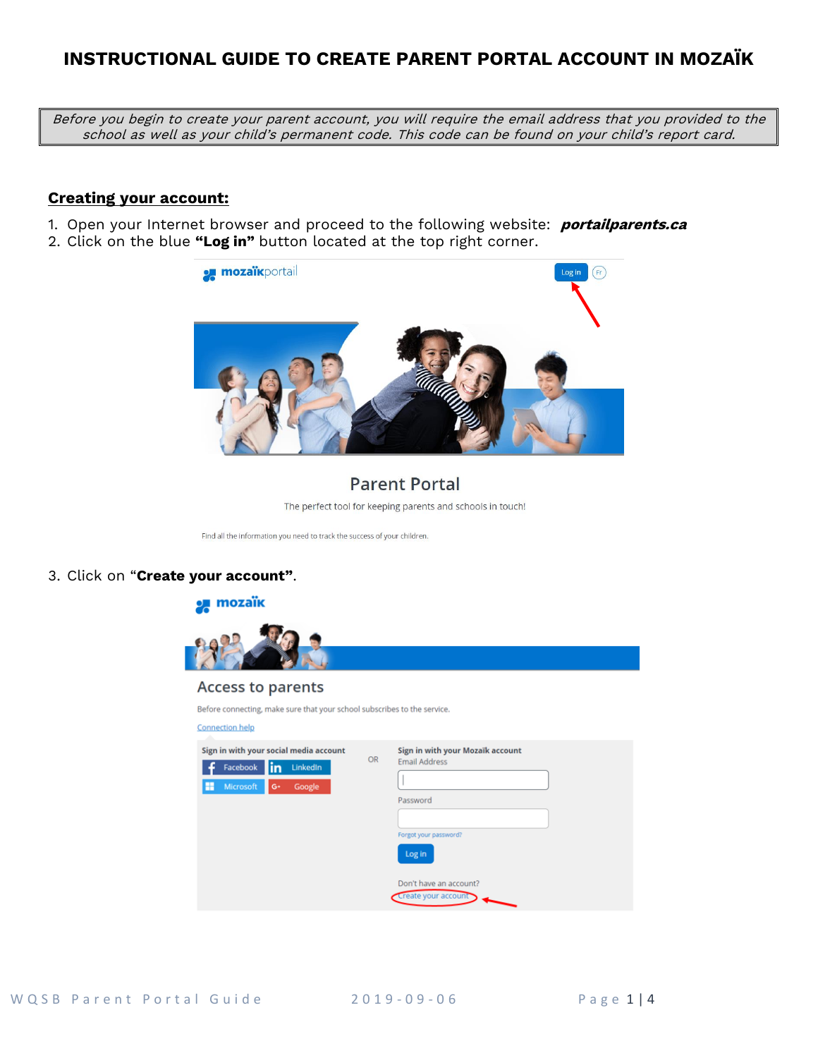# **INSTRUCTIONAL GUIDE TO CREATE PARENT PORTAL ACCOUNT IN MOZAÏK**

Before you begin to create your parent account, you will require the email address that you provided to the school as well as your child's permanent code. This code can be found on your child's report card.

#### **Creating your account:**

1. Open your Internet browser and proceed to the following website: **portailparents.ca** 2. Click on the blue **"Log in"** button located at the top right corner.



## **Parent Portal**

The perfect tool for keeping parents and schools in touch!

Find all the information you need to track the success of your children.

#### 3. Click on "**Create your account"**.



Don't have an account? Create your account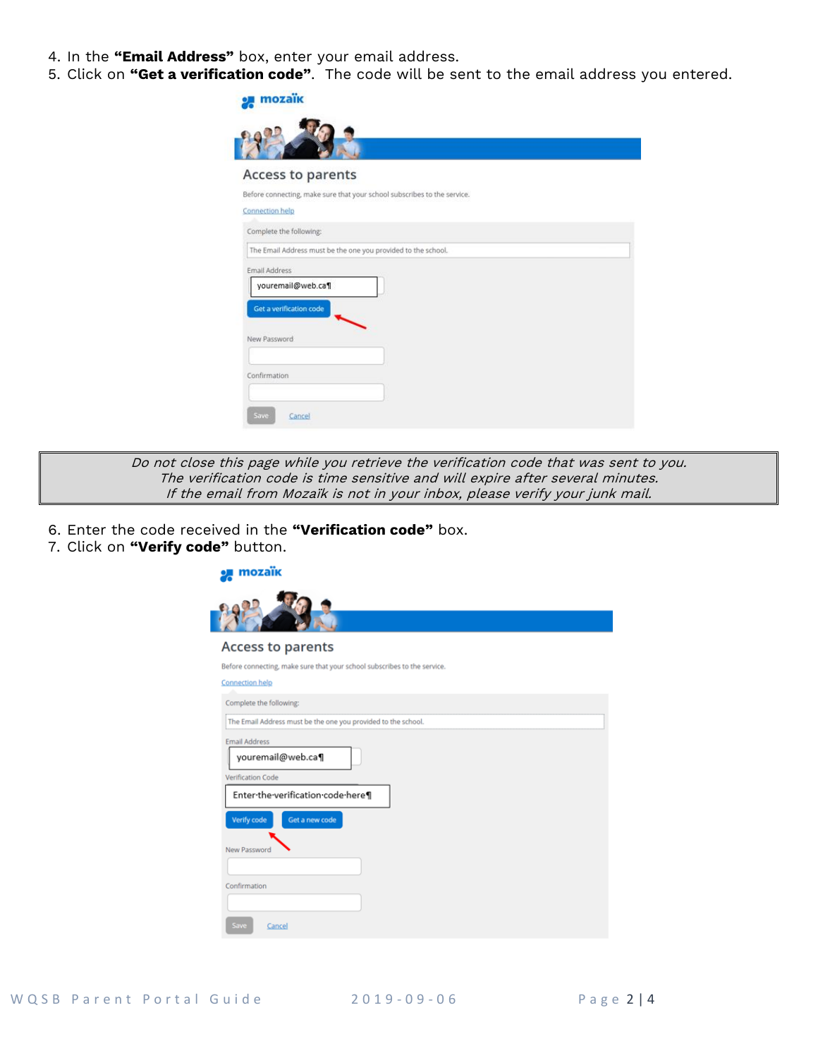- 4. In the **"Email Address"** box, enter your email address.
- 5. Click on **"Get a verification code"**. The code will be sent to the email address you entered.

| mozaik                                                                   |
|--------------------------------------------------------------------------|
|                                                                          |
|                                                                          |
| Access to parents                                                        |
| Before connecting, make sure that your school subscribes to the service. |
| Connection help                                                          |
| Complete the following:                                                  |
| The Email Address must be the one you provided to the school.            |
| Email Address                                                            |
| youremail@web.ca¶                                                        |
| Get a verification code                                                  |
| New Password                                                             |
|                                                                          |
| Confirmation                                                             |
|                                                                          |
| Save<br>Cancel                                                           |

Do not close this page while you retrieve the verification code that was sent to you. The verification code is time sensitive and will expire after several minutes. If the email from Mozaïk is not in your inbox, please verify your junk mail.

- 6. Enter the code received in the **"Verification code"** box.
- 7. Click on **"Verify code"** button.

| mozaïk                                                                   |  |
|--------------------------------------------------------------------------|--|
|                                                                          |  |
| <b>Access to parents</b>                                                 |  |
| Before connecting, make sure that your school subscribes to the service. |  |
| <b>Connection help</b>                                                   |  |
| Complete the following:                                                  |  |
| The Email Address must be the one you provided to the school.            |  |
| <b>Email Address</b><br>youremail@web.ca¶                                |  |
| <b>Verification Code</b>                                                 |  |
| Enter-the-verification-code-here¶                                        |  |
| Verify code<br>Get a new code                                            |  |
|                                                                          |  |
| New Password                                                             |  |
|                                                                          |  |
| Confirmation                                                             |  |
|                                                                          |  |
| Save<br>Cancel                                                           |  |
|                                                                          |  |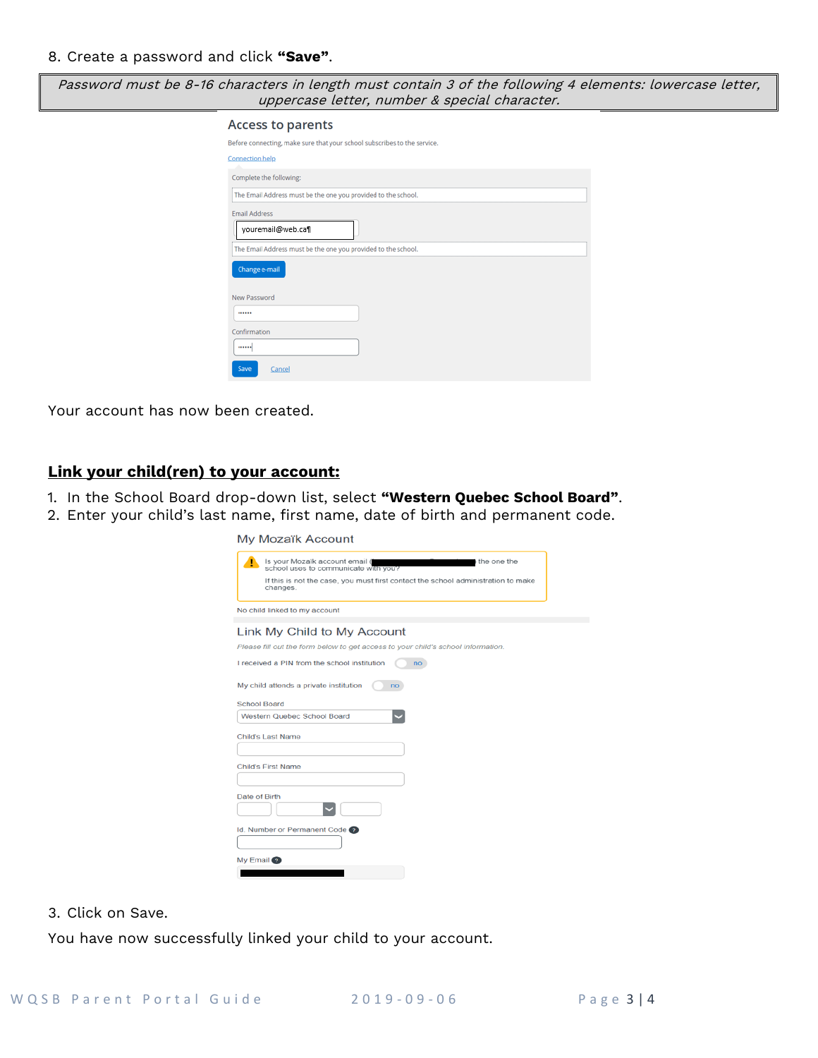Password must be 8-16 characters in length must contain 3 of the following 4 elements: lowercase letter, uppercase letter, number & special character.

| <b>Access to parents</b>                                                 |
|--------------------------------------------------------------------------|
| Before connecting, make sure that your school subscribes to the service. |
| <b>Connection help</b>                                                   |
| Complete the following:                                                  |
| The Email Address must be the one you provided to the school.            |
| <b>Email Address</b><br>youremail@web.ca¶                                |
| The Email Address must be the one you provided to the school.            |
| Change e-mail                                                            |
| New Password                                                             |
|                                                                          |
| Confirmation                                                             |
|                                                                          |
| Save<br>Cancel                                                           |

Your account has now been created.

### **Link your child(ren) to your account:**

- 1. In the School Board drop-down list, select **"Western Quebec School Board"**.
- 2. Enter your child's last name, first name, date of birth and permanent code.

My Mozaïk Account

| т                   | Is your Mozaïk account email (<br>the one the<br>school uses to communicate with you? |
|---------------------|---------------------------------------------------------------------------------------|
|                     | If this is not the case, you must first contact the school administration to make     |
|                     | changes.                                                                              |
|                     | No child linked to my account                                                         |
|                     | Link My Child to My Account                                                           |
|                     | Please fill out the form below to get access to your child's school information.      |
|                     | I received a PIN from the school institution<br>no                                    |
| <b>School Board</b> | My child attends a private institution<br>no                                          |
|                     | <b>Western Quebec School Board</b>                                                    |
|                     | <b>Child's Last Name</b>                                                              |
|                     |                                                                                       |
|                     | <b>Child's First Name</b>                                                             |
|                     |                                                                                       |
| Date of Birth       |                                                                                       |
|                     |                                                                                       |
|                     | Id. Number or Permanent Code                                                          |
|                     |                                                                                       |
| My Email ?          |                                                                                       |
|                     |                                                                                       |

3. Click on Save.

You have now successfully linked your child to your account.